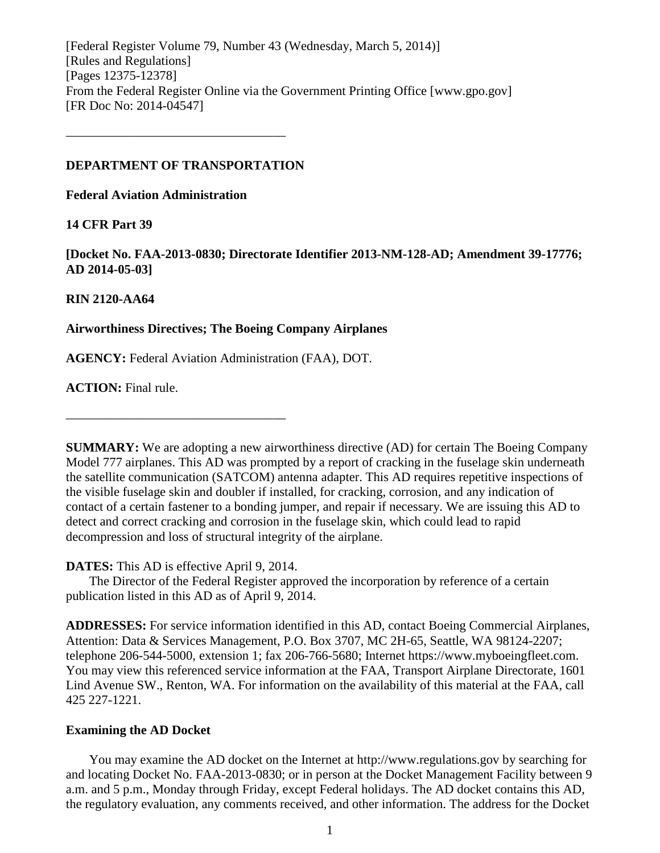[Federal Register Volume 79, Number 43 (Wednesday, March 5, 2014)] [Rules and Regulations] [Pages 12375-12378] From the Federal Register Online via the Government Printing Office [www.gpo.gov] [FR Doc No: 2014-04547]

#### **DEPARTMENT OF TRANSPORTATION**

––––––––––––––––––––––––––––––––––

**Federal Aviation Administration**

# **14 CFR Part 39**

**[Docket No. FAA-2013-0830; Directorate Identifier 2013-NM-128-AD; Amendment 39-17776; AD 2014-05-03]**

### **RIN 2120-AA64**

### **Airworthiness Directives; The Boeing Company Airplanes**

**AGENCY:** Federal Aviation Administration (FAA), DOT.

**ACTION:** Final rule.

**SUMMARY:** We are adopting a new airworthiness directive (AD) for certain The Boeing Company Model 777 airplanes. This AD was prompted by a report of cracking in the fuselage skin underneath the satellite communication (SATCOM) antenna adapter. This AD requires repetitive inspections of the visible fuselage skin and doubler if installed, for cracking, corrosion, and any indication of contact of a certain fastener to a bonding jumper, and repair if necessary. We are issuing this AD to detect and correct cracking and corrosion in the fuselage skin, which could lead to rapid decompression and loss of structural integrity of the airplane.

#### **DATES:** This AD is effective April 9, 2014.

––––––––––––––––––––––––––––––––––

The Director of the Federal Register approved the incorporation by reference of a certain publication listed in this AD as of April 9, 2014.

**ADDRESSES:** For service information identified in this AD, contact Boeing Commercial Airplanes, Attention: Data & Services Management, P.O. Box 3707, MC 2H-65, Seattle, WA 98124-2207; telephone 206-544-5000, extension 1; fax 206-766-5680; Internet https://www.myboeingfleet.com. You may view this referenced service information at the FAA, Transport Airplane Directorate, 1601 Lind Avenue SW., Renton, WA. For information on the availability of this material at the FAA, call 425 227-1221.

#### **Examining the AD Docket**

You may examine the AD docket on the Internet at http://www.regulations.gov by searching for and locating Docket No. FAA-2013-0830; or in person at the Docket Management Facility between 9 a.m. and 5 p.m., Monday through Friday, except Federal holidays. The AD docket contains this AD, the regulatory evaluation, any comments received, and other information. The address for the Docket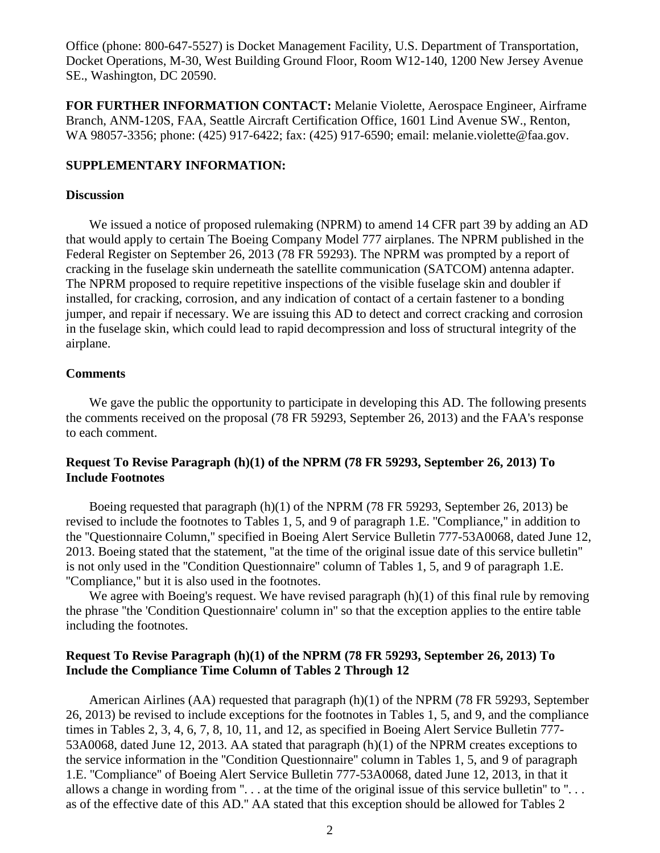Office (phone: 800-647-5527) is Docket Management Facility, U.S. Department of Transportation, Docket Operations, M-30, West Building Ground Floor, Room W12-140, 1200 New Jersey Avenue SE., Washington, DC 20590.

**FOR FURTHER INFORMATION CONTACT:** Melanie Violette, Aerospace Engineer, Airframe Branch, ANM-120S, FAA, Seattle Aircraft Certification Office, 1601 Lind Avenue SW., Renton, WA 98057-3356; phone: (425) 917-6422; fax: (425) 917-6590; email: melanie.violette@faa.gov.

#### **SUPPLEMENTARY INFORMATION:**

### **Discussion**

We issued a notice of proposed rulemaking (NPRM) to amend 14 CFR part 39 by adding an AD that would apply to certain The Boeing Company Model 777 airplanes. The NPRM published in the Federal Register on September 26, 2013 (78 FR 59293). The NPRM was prompted by a report of cracking in the fuselage skin underneath the satellite communication (SATCOM) antenna adapter. The NPRM proposed to require repetitive inspections of the visible fuselage skin and doubler if installed, for cracking, corrosion, and any indication of contact of a certain fastener to a bonding jumper, and repair if necessary. We are issuing this AD to detect and correct cracking and corrosion in the fuselage skin, which could lead to rapid decompression and loss of structural integrity of the airplane.

#### **Comments**

We gave the public the opportunity to participate in developing this AD. The following presents the comments received on the proposal (78 FR 59293, September 26, 2013) and the FAA's response to each comment.

# **Request To Revise Paragraph (h)(1) of the NPRM (78 FR 59293, September 26, 2013) To Include Footnotes**

Boeing requested that paragraph (h)(1) of the NPRM (78 FR 59293, September 26, 2013) be revised to include the footnotes to Tables 1, 5, and 9 of paragraph 1.E. ''Compliance,'' in addition to the ''Questionnaire Column,'' specified in Boeing Alert Service Bulletin 777-53A0068, dated June 12, 2013. Boeing stated that the statement, ''at the time of the original issue date of this service bulletin'' is not only used in the ''Condition Questionnaire'' column of Tables 1, 5, and 9 of paragraph 1.E. ''Compliance,'' but it is also used in the footnotes.

We agree with Boeing's request. We have revised paragraph  $(h)(1)$  of this final rule by removing the phrase ''the 'Condition Questionnaire' column in'' so that the exception applies to the entire table including the footnotes.

### **Request To Revise Paragraph (h)(1) of the NPRM (78 FR 59293, September 26, 2013) To Include the Compliance Time Column of Tables 2 Through 12**

American Airlines (AA) requested that paragraph (h)(1) of the NPRM (78 FR 59293, September 26, 2013) be revised to include exceptions for the footnotes in Tables 1, 5, and 9, and the compliance times in Tables 2, 3, 4, 6, 7, 8, 10, 11, and 12, as specified in Boeing Alert Service Bulletin 777- 53A0068, dated June 12, 2013. AA stated that paragraph (h)(1) of the NPRM creates exceptions to the service information in the ''Condition Questionnaire'' column in Tables 1, 5, and 9 of paragraph 1.E. ''Compliance'' of Boeing Alert Service Bulletin 777-53A0068, dated June 12, 2013, in that it allows a change in wording from " $\ldots$  at the time of the original issue of this service bulletin" to " $\ldots$ as of the effective date of this AD.'' AA stated that this exception should be allowed for Tables 2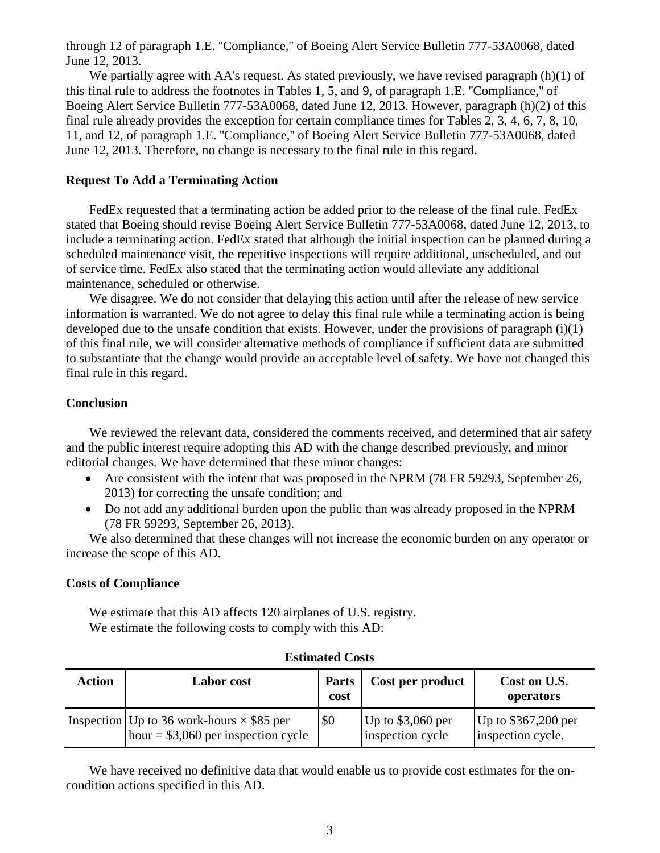through 12 of paragraph 1.E. ''Compliance,'' of Boeing Alert Service Bulletin 777-53A0068, dated June 12, 2013.

We partially agree with AA's request. As stated previously, we have revised paragraph (h)(1) of this final rule to address the footnotes in Tables 1, 5, and 9, of paragraph 1.E. ''Compliance,'' of Boeing Alert Service Bulletin 777-53A0068, dated June 12, 2013. However, paragraph (h)(2) of this final rule already provides the exception for certain compliance times for Tables 2, 3, 4, 6, 7, 8, 10, 11, and 12, of paragraph 1.E. ''Compliance,'' of Boeing Alert Service Bulletin 777-53A0068, dated June 12, 2013. Therefore, no change is necessary to the final rule in this regard.

### **Request To Add a Terminating Action**

FedEx requested that a terminating action be added prior to the release of the final rule. FedEx stated that Boeing should revise Boeing Alert Service Bulletin 777-53A0068, dated June 12, 2013, to include a terminating action. FedEx stated that although the initial inspection can be planned during a scheduled maintenance visit, the repetitive inspections will require additional, unscheduled, and out of service time. FedEx also stated that the terminating action would alleviate any additional maintenance, scheduled or otherwise.

We disagree. We do not consider that delaying this action until after the release of new service information is warranted. We do not agree to delay this final rule while a terminating action is being developed due to the unsafe condition that exists. However, under the provisions of paragraph (i)(1) of this final rule, we will consider alternative methods of compliance if sufficient data are submitted to substantiate that the change would provide an acceptable level of safety. We have not changed this final rule in this regard.

# **Conclusion**

We reviewed the relevant data, considered the comments received, and determined that air safety and the public interest require adopting this AD with the change described previously, and minor editorial changes. We have determined that these minor changes:

- Are consistent with the intent that was proposed in the NPRM (78 FR 59293, September 26, 2013) for correcting the unsafe condition; and
- Do not add any additional burden upon the public than was already proposed in the NPRM (78 FR 59293, September 26, 2013).

We also determined that these changes will not increase the economic burden on any operator or increase the scope of this AD.

# **Costs of Compliance**

We estimate that this AD affects 120 airplanes of U.S. registry. We estimate the following costs to comply with this AD:

| Action | <b>Labor</b> cost                                                                                 | <b>Parts</b><br>cost | Cost per product                       | Cost on U.S.<br>operators                 |
|--------|---------------------------------------------------------------------------------------------------|----------------------|----------------------------------------|-------------------------------------------|
|        | Inspection   Up to 36 work-hours $\times$ \$85 per<br>$\vert$ hour = \$3,060 per inspection cycle | \$0                  | Up to $$3,060$ per<br>inspection cycle | Up to $$367,200$ per<br>inspection cycle. |

# **Estimated Costs**

We have received no definitive data that would enable us to provide cost estimates for the oncondition actions specified in this AD.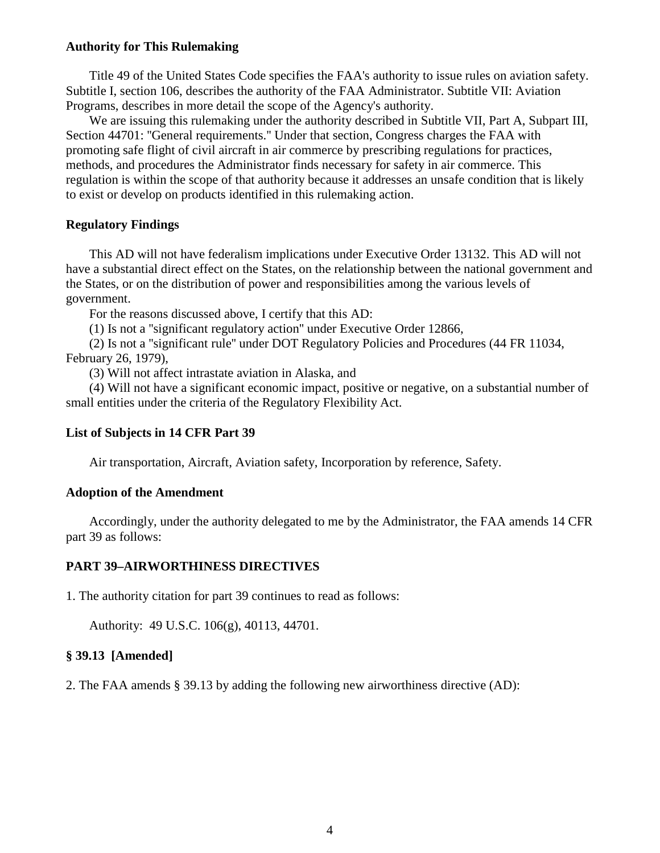### **Authority for This Rulemaking**

Title 49 of the United States Code specifies the FAA's authority to issue rules on aviation safety. Subtitle I, section 106, describes the authority of the FAA Administrator. Subtitle VII: Aviation Programs, describes in more detail the scope of the Agency's authority.

We are issuing this rulemaking under the authority described in Subtitle VII, Part A, Subpart III, Section 44701: ''General requirements.'' Under that section, Congress charges the FAA with promoting safe flight of civil aircraft in air commerce by prescribing regulations for practices, methods, and procedures the Administrator finds necessary for safety in air commerce. This regulation is within the scope of that authority because it addresses an unsafe condition that is likely to exist or develop on products identified in this rulemaking action.

### **Regulatory Findings**

This AD will not have federalism implications under Executive Order 13132. This AD will not have a substantial direct effect on the States, on the relationship between the national government and the States, or on the distribution of power and responsibilities among the various levels of government.

For the reasons discussed above, I certify that this AD:

(1) Is not a ''significant regulatory action'' under Executive Order 12866,

(2) Is not a ''significant rule'' under DOT Regulatory Policies and Procedures (44 FR 11034, February 26, 1979),

(3) Will not affect intrastate aviation in Alaska, and

(4) Will not have a significant economic impact, positive or negative, on a substantial number of small entities under the criteria of the Regulatory Flexibility Act.

# **List of Subjects in 14 CFR Part 39**

Air transportation, Aircraft, Aviation safety, Incorporation by reference, Safety.

#### **Adoption of the Amendment**

Accordingly, under the authority delegated to me by the Administrator, the FAA amends 14 CFR part 39 as follows:

#### **PART 39–AIRWORTHINESS DIRECTIVES**

1. The authority citation for part 39 continues to read as follows:

Authority: 49 U.S.C. 106(g), 40113, 44701.

#### **§ 39.13 [Amended]**

2. The FAA amends § 39.13 by adding the following new airworthiness directive (AD):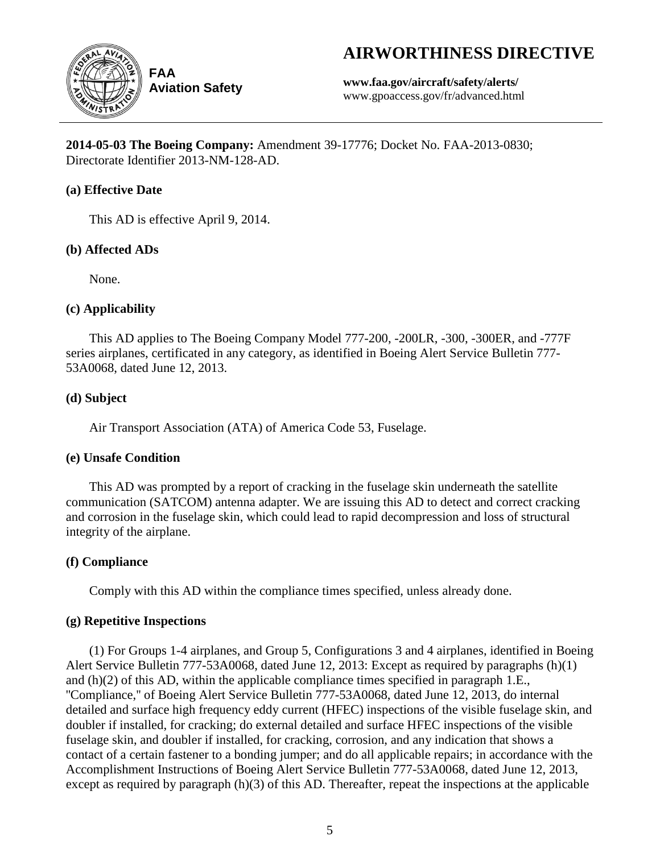# **AIRWORTHINESS DIRECTIVE**



**Aviation Safety**

**www.faa.gov/aircraft/safety/alerts/** www.gpoaccess.gov/fr/advanced.html

**2014-05-03 The Boeing Company:** Amendment 39-17776; Docket No. FAA-2013-0830; Directorate Identifier 2013-NM-128-AD.

# **(a) Effective Date**

This AD is effective April 9, 2014.

# **(b) Affected ADs**

None.

# **(c) Applicability**

This AD applies to The Boeing Company Model 777-200, -200LR, -300, -300ER, and -777F series airplanes, certificated in any category, as identified in Boeing Alert Service Bulletin 777- 53A0068, dated June 12, 2013.

# **(d) Subject**

Air Transport Association (ATA) of America Code 53, Fuselage.

# **(e) Unsafe Condition**

This AD was prompted by a report of cracking in the fuselage skin underneath the satellite communication (SATCOM) antenna adapter. We are issuing this AD to detect and correct cracking and corrosion in the fuselage skin, which could lead to rapid decompression and loss of structural integrity of the airplane.

# **(f) Compliance**

Comply with this AD within the compliance times specified, unless already done.

# **(g) Repetitive Inspections**

(1) For Groups 1-4 airplanes, and Group 5, Configurations 3 and 4 airplanes, identified in Boeing Alert Service Bulletin 777-53A0068, dated June 12, 2013: Except as required by paragraphs (h)(1) and (h)(2) of this AD, within the applicable compliance times specified in paragraph 1.E., ''Compliance,'' of Boeing Alert Service Bulletin 777-53A0068, dated June 12, 2013, do internal detailed and surface high frequency eddy current (HFEC) inspections of the visible fuselage skin, and doubler if installed, for cracking; do external detailed and surface HFEC inspections of the visible fuselage skin, and doubler if installed, for cracking, corrosion, and any indication that shows a contact of a certain fastener to a bonding jumper; and do all applicable repairs; in accordance with the Accomplishment Instructions of Boeing Alert Service Bulletin 777-53A0068, dated June 12, 2013, except as required by paragraph (h)(3) of this AD. Thereafter, repeat the inspections at the applicable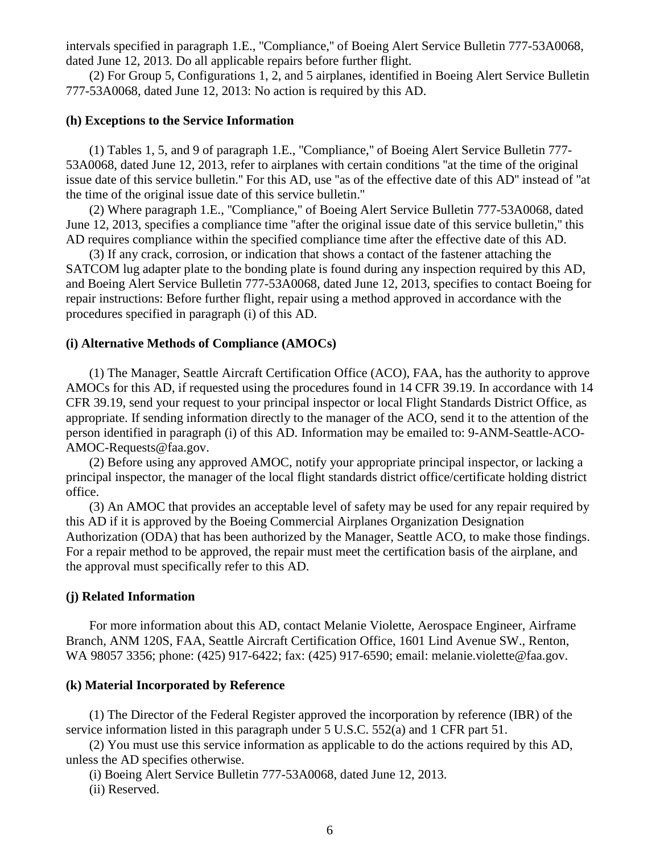intervals specified in paragraph 1.E., ''Compliance,'' of Boeing Alert Service Bulletin 777-53A0068, dated June 12, 2013. Do all applicable repairs before further flight.

(2) For Group 5, Configurations 1, 2, and 5 airplanes, identified in Boeing Alert Service Bulletin 777-53A0068, dated June 12, 2013: No action is required by this AD.

#### **(h) Exceptions to the Service Information**

(1) Tables 1, 5, and 9 of paragraph 1.E., ''Compliance,'' of Boeing Alert Service Bulletin 777- 53A0068, dated June 12, 2013, refer to airplanes with certain conditions ''at the time of the original issue date of this service bulletin.'' For this AD, use ''as of the effective date of this AD'' instead of ''at the time of the original issue date of this service bulletin.''

(2) Where paragraph 1.E., ''Compliance,'' of Boeing Alert Service Bulletin 777-53A0068, dated June 12, 2013, specifies a compliance time ''after the original issue date of this service bulletin,'' this AD requires compliance within the specified compliance time after the effective date of this AD.

(3) If any crack, corrosion, or indication that shows a contact of the fastener attaching the SATCOM lug adapter plate to the bonding plate is found during any inspection required by this AD, and Boeing Alert Service Bulletin 777-53A0068, dated June 12, 2013, specifies to contact Boeing for repair instructions: Before further flight, repair using a method approved in accordance with the procedures specified in paragraph (i) of this AD.

#### **(i) Alternative Methods of Compliance (AMOCs)**

(1) The Manager, Seattle Aircraft Certification Office (ACO), FAA, has the authority to approve AMOCs for this AD, if requested using the procedures found in 14 CFR 39.19. In accordance with 14 CFR 39.19, send your request to your principal inspector or local Flight Standards District Office, as appropriate. If sending information directly to the manager of the ACO, send it to the attention of the person identified in paragraph (i) of this AD. Information may be emailed to: 9-ANM-Seattle-ACO-AMOC-Requests@faa.gov.

(2) Before using any approved AMOC, notify your appropriate principal inspector, or lacking a principal inspector, the manager of the local flight standards district office/certificate holding district office.

(3) An AMOC that provides an acceptable level of safety may be used for any repair required by this AD if it is approved by the Boeing Commercial Airplanes Organization Designation Authorization (ODA) that has been authorized by the Manager, Seattle ACO, to make those findings. For a repair method to be approved, the repair must meet the certification basis of the airplane, and the approval must specifically refer to this AD.

#### **(j) Related Information**

For more information about this AD, contact Melanie Violette, Aerospace Engineer, Airframe Branch, ANM 120S, FAA, Seattle Aircraft Certification Office, 1601 Lind Avenue SW., Renton, WA 98057 3356; phone: (425) 917-6422; fax: (425) 917-6590; email: melanie.violette@faa.gov.

#### **(k) Material Incorporated by Reference**

(1) The Director of the Federal Register approved the incorporation by reference (IBR) of the service information listed in this paragraph under 5 U.S.C. 552(a) and 1 CFR part 51.

(2) You must use this service information as applicable to do the actions required by this AD, unless the AD specifies otherwise.

(i) Boeing Alert Service Bulletin 777-53A0068, dated June 12, 2013.

(ii) Reserved.